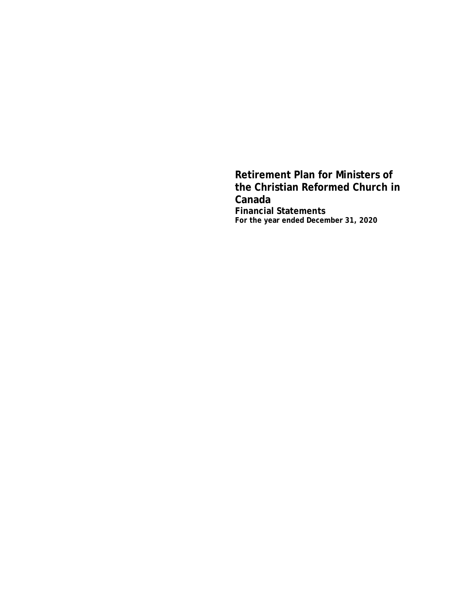**Retirement Plan for Ministers of the Christian Reformed Church in Canada Financial Statements For the year ended December 31, 2020**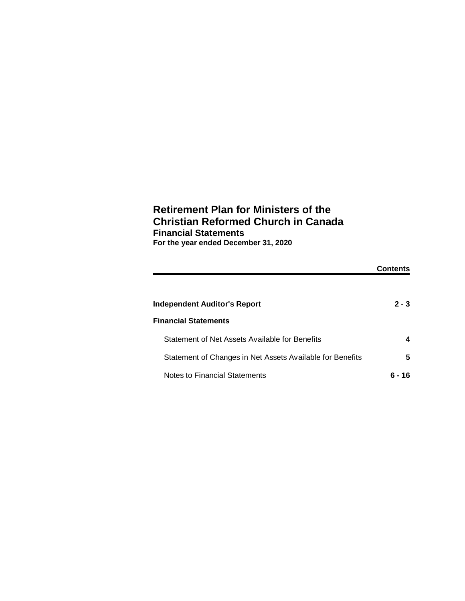# **Retirement Plan for Ministers of the Christian Reformed Church in Canada Financial Statements For the year ended December 31, 2020**

|                                                           | Contents |
|-----------------------------------------------------------|----------|
|                                                           |          |
| Independent Auditor's Report                              | $2 - 3$  |
| <b>Financial Statements</b>                               |          |
| Statement of Net Assets Available for Benefits            | 4        |
| Statement of Changes in Net Assets Available for Benefits | 5        |
| Notes to Financial Statements                             | 16       |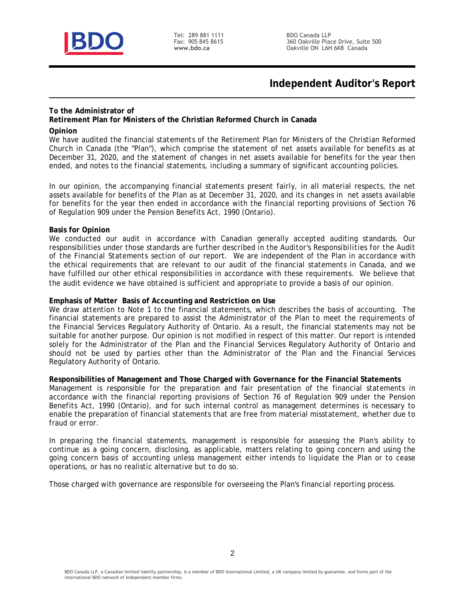

Tel: 289 881 1111 Fax: 905 845 8615 www.bdo.ca

# **Independent Auditor's Report**

### **To the Administrator of**

**Retirement Plan for Ministers of the Christian Reformed Church in Canada**

### **Opinion**

We have audited the financial statements of the Retirement Plan for Ministers of the Christian Reformed Church in Canada (the "Plan"), which comprise the statement of net assets available for benefits as at December 31, 2020, and the statement of changes in net assets available for benefits for the year then ended, and notes to the financial statements, including a summary of significant accounting policies.

In our opinion, the accompanying financial statements present fairly, in all material respects, the net assets available for benefits of the Plan as at December 31, 2020, and its changes in net assets available for benefits for the year then ended in accordance with the financial reporting provisions of Section 76 of Regulation 909 under the Pension Benefits Act, 1990 (Ontario).

### **Basis for Opinion**

We conducted our audit in accordance with Canadian generally accepted auditing standards. Our responsibilities under those standards are further described in the *Auditor's Responsibilities for the Audit of the Financial Statements* section of our report. We are independent of the Plan in accordance with the ethical requirements that are relevant to our audit of the financial statements in Canada, and we have fulfilled our other ethical responsibilities in accordance with these requirements. We believe that the audit evidence we have obtained is sufficient and appropriate to provide a basis of our opinion.

**Emphasis of Matter Basis of Accounting and Restriction on Use**

We draw attention to Note 1 to the financial statements, which describes the basis of accounting. The financial statements are prepared to assist the Administrator of the Plan to meet the requirements of the Financial Services Regulatory Authority of Ontario. As a result, the financial statements may not be suitable for another purpose. Our opinion is not modified in respect of this matter. Our report is intended solely for the Administrator of the Plan and the Financial Services Regulatory Authority of Ontario and should not be used by parties other than the Administrator of the Plan and the Financial Services Regulatory Authority of Ontario.

**Responsibilities of Management and Those Charged with Governance for the Financial Statements** Management is responsible for the preparation and fair presentation of the financial statements in accordance with the financial reporting provisions of Section 76 of Regulation 909 under the Pension Benefits Act, 1990 (Ontario), and for such internal control as management determines is necessary to enable the preparation of financial statements that are free from material misstatement, whether due to fraud or error.

In preparing the financial statements, management is responsible for assessing the Plan's ability to continue as a going concern, disclosing, as applicable, matters relating to going concern and using the going concern basis of accounting unless management either intends to liquidate the Plan or to cease operations, or has no realistic alternative but to do so.

Those charged with governance are responsible for overseeing the Plan's financial reporting process.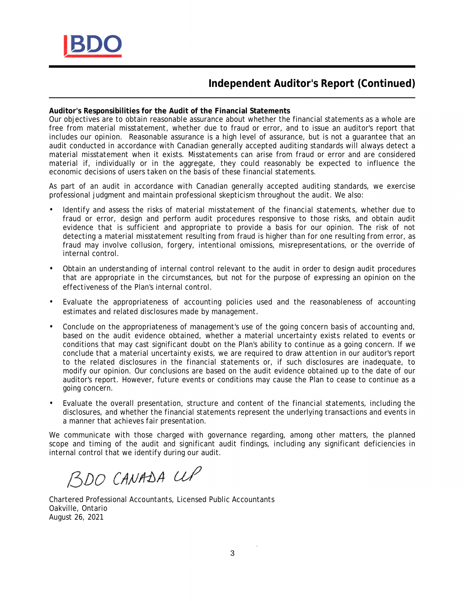

# **Independent Auditor's Report (Continued)**

**Auditor's Responsibilities for the Audit of the Financial Statements**

Our objectives are to obtain reasonable assurance about whether the financial statements as a whole are free from material misstatement, whether due to fraud or error, and to issue an auditor's report that includes our opinion. Reasonable assurance is a high level of assurance, but is not a guarantee that an audit conducted in accordance with Canadian generally accepted auditing standards will always detect a material misstatement when it exists. Misstatements can arise from fraud or error and are considered material if, individually or in the aggregate, they could reasonably be expected to influence the economic decisions of users taken on the basis of these financial statements.

As part of an audit in accordance with Canadian generally accepted auditing standards, we exercise professional judgment and maintain professional skepticism throughout the audit. We also:

- Identify and assess the risks of material misstatement of the financial statements, whether due to fraud or error, design and perform audit procedures responsive to those risks, and obtain audit evidence that is sufficient and appropriate to provide a basis for our opinion. The risk of not detecting a material misstatement resulting from fraud is higher than for one resulting from error, as fraud may involve collusion, forgery, intentional omissions, misrepresentations, or the override of internal control.
- Obtain an understanding of internal control relevant to the audit in order to design audit procedures that are appropriate in the circumstances, but not for the purpose of expressing an opinion on the effectiveness of the Plan's internal control.
- Evaluate the appropriateness of accounting policies used and the reasonableness of accounting estimates and related disclosures made by management.
- Conclude on the appropriateness of management's use of the going concern basis of accounting and, based on the audit evidence obtained, whether a material uncertainty exists related to events or conditions that may cast significant doubt on the Plan's ability to continue as a going concern. If we conclude that a material uncertainty exists, we are required to draw attention in our auditor's report to the related disclosures in the financial statements or, if such disclosures are inadequate, to modify our opinion. Our conclusions are based on the audit evidence obtained up to the date of our auditor's report. However, future events or conditions may cause the Plan to cease to continue as a going concern.
- Evaluate the overall presentation, structure and content of the financial statements, including the disclosures, and whether the financial statements represent the underlying transactions and events in a manner that achieves fair presentation.

We communicate with those charged with governance regarding, among other matters, the planned scope and timing of the audit and significant audit findings, including any significant deficiencies in internal control that we identify during our audit.

BDO CANADA CUP

Chartered Professional Accountants, Licensed Public Accountants Oakville, Ontario August 26, 2021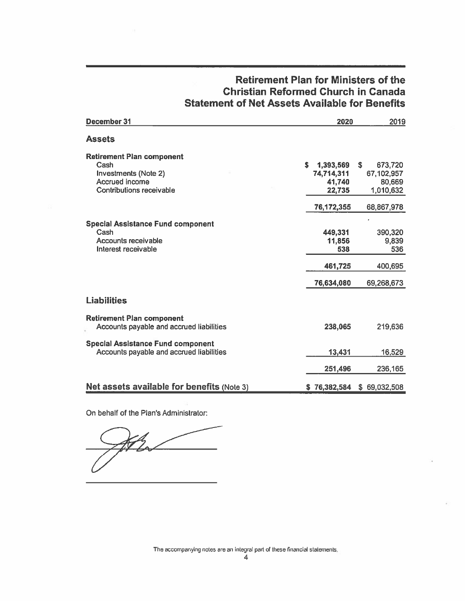| December 31                                                                                                    | 2020                                             | 2019                                               |
|----------------------------------------------------------------------------------------------------------------|--------------------------------------------------|----------------------------------------------------|
| <b>Assets</b>                                                                                                  |                                                  |                                                    |
| <b>Retirement Plan component</b><br>Cash<br>Investments (Note 2)<br>Accrued income<br>Contributions receivable | s<br>1,393,569<br>74,714,311<br>41,740<br>22,735 | S.<br>673,720<br>67,102,957<br>80,669<br>1,010,632 |
|                                                                                                                | 76,172,355                                       | 68,867,978                                         |
| <b>Special Assistance Fund component</b><br>Cash<br>Accounts receivable<br>Interest receivable                 | 449,331<br>11,856<br>538                         | 390,320<br>9,839<br>536                            |
|                                                                                                                | 461,725                                          | 400,695                                            |
|                                                                                                                | 76,634,080                                       | 69,268,673                                         |
| <b>Liabilities</b>                                                                                             |                                                  |                                                    |
| <b>Retirement Plan component</b><br>Accounts payable and accrued liabilities                                   | 238,065                                          | 219,636                                            |
| <b>Special Assistance Fund component</b><br>Accounts payable and accrued liabilities                           | 13,431                                           | 16,529                                             |
|                                                                                                                | 251,496                                          | 236,165                                            |
| <b>Net assets available for benefits (Note 3)</b>                                                              | \$76,382,584                                     | \$69,032,508                                       |

# **Retirement Plan for Ministers of the Christian Reformed Church in Canada Statement of Net Assets Available for Benefits**

On behalf of the Plan's Administrator:

The accompanying notes are an integral part of these financial statements,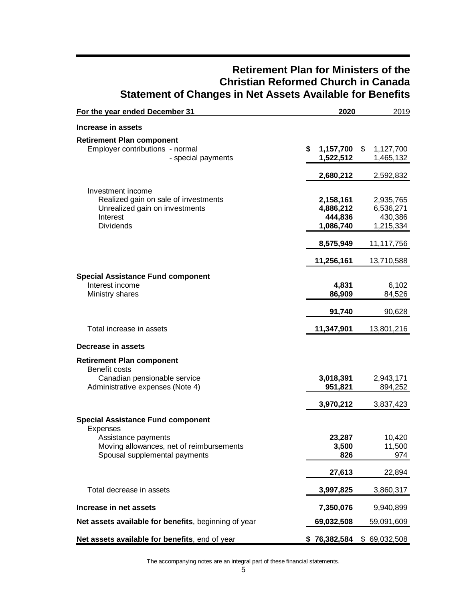| For the year ended December 31                                                                                                                           | 2020                                           | 2019                                           |
|----------------------------------------------------------------------------------------------------------------------------------------------------------|------------------------------------------------|------------------------------------------------|
| Increase in assets                                                                                                                                       |                                                |                                                |
| <b>Retirement Plan component</b><br>Employer contributions - normal<br>- special payments                                                                | \$<br>1,157,700 \$<br>1,522,512<br>2,680,212   | 1,127,700<br>1,465,132<br>2,592,832            |
| Investment income<br>Realized gain on sale of investments<br>Unrealized gain on investments<br>Interest<br><b>Dividends</b>                              | 2,158,161<br>4,886,212<br>444,836<br>1,086,740 | 2,935,765<br>6,536,271<br>430,386<br>1,215,334 |
|                                                                                                                                                          | 8,575,949                                      | 11,117,756                                     |
|                                                                                                                                                          | 11,256,161                                     | 13,710,588                                     |
| <b>Special Assistance Fund component</b><br>Interest income<br>Ministry shares                                                                           | 4,831<br>86,909                                | 6,102<br>84,526                                |
|                                                                                                                                                          | 91,740                                         | 90,628                                         |
| Total increase in assets                                                                                                                                 | 11,347,901                                     | 13,801,216                                     |
| Decrease in assets                                                                                                                                       |                                                |                                                |
| <b>Retirement Plan component</b><br>Benefit costs<br>Canadian pensionable service<br>Administrative expenses (Note 4)                                    | 3,018,391<br>951,821                           | 2,943,171<br>894,252                           |
|                                                                                                                                                          | 3,970,212                                      | 3,837,423                                      |
| <b>Special Assistance Fund component</b><br>Expenses<br>Assistance payments<br>Moving allowances, net of reimbursements<br>Spousal supplemental payments | 23,287<br>3,500<br>826                         | 10,420<br>11,500<br>974                        |
|                                                                                                                                                          | 27,613                                         | 22,894                                         |
| Total decrease in assets                                                                                                                                 | 3,997,825                                      | 3,860,317                                      |
| Increase in net assets                                                                                                                                   | 7,350,076                                      | 9,940,899                                      |
| Net assets available for benefits, beginning of year                                                                                                     | 69,032,508                                     | 59,091,609                                     |
| Net assets available for benefits, end of year                                                                                                           | \$76,382,584                                   | \$69,032,508                                   |

# **Retirement Plan for Ministers of the Christian Reformed Church in Canada Statement of Changes in Net Assets Available for Benefits**

The accompanying notes are an integral part of these financial statements.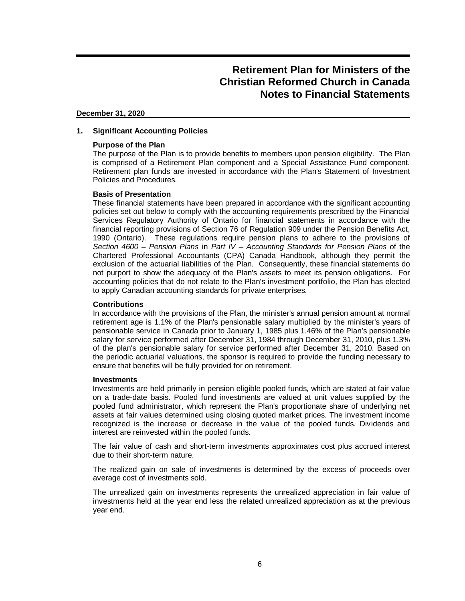#### **December 31, 2020**

### **1. Significant Accounting Policies**

### **Purpose of the Plan**

The purpose of the Plan is to provide benefits to members upon pension eligibility. The Plan is comprised of a Retirement Plan component and a Special Assistance Fund component. Retirement plan funds are invested in accordance with the Plan's Statement of Investment Policies and Procedures.

### **Basis of Presentation**

These financial statements have been prepared in accordance with the significant accounting policies set out below to comply with the accounting requirements prescribed by the Financial Services Regulatory Authority of Ontario for financial statements in accordance with the financial reporting provisions of Section 76 of Regulation 909 under the Pension Benefits Act, 1990 (Ontario). These regulations require pension plans to adhere to the provisions of *Section 4600 – Pension Plans* in *Part IV – Accounting Standards for Pension Plans* of the Chartered Professional Accountants (CPA) Canada Handbook, although they permit the exclusion of the actuarial liabilities of the Plan. Consequently, these financial statements do not purport to show the adequacy of the Plan's assets to meet its pension obligations. For accounting policies that do not relate to the Plan's investment portfolio, the Plan has elected to apply Canadian accounting standards for private enterprises.

### **Contributions**

In accordance with the provisions of the Plan, the minister's annual pension amount at normal retirement age is 1.1% of the Plan's pensionable salary multiplied by the minister's years of pensionable service in Canada prior to January 1, 1985 plus 1.46% of the Plan's pensionable salary for service performed after December 31, 1984 through December 31, 2010, plus 1.3% of the plan's pensionable salary for service performed after December 31, 2010. Based on the periodic actuarial valuations, the sponsor is required to provide the funding necessary to ensure that benefits will be fully provided for on retirement.

### **Investments**

Investments are held primarily in pension eligible pooled funds, which are stated at fair value on a trade-date basis. Pooled fund investments are valued at unit values supplied by the pooled fund administrator, which represent the Plan's proportionate share of underlying net assets at fair values determined using closing quoted market prices. The investment income recognized is the increase or decrease in the value of the pooled funds. Dividends and interest are reinvested within the pooled funds.

The fair value of cash and short-term investments approximates cost plus accrued interest due to their short-term nature.

The realized gain on sale of investments is determined by the excess of proceeds over average cost of investments sold.

The unrealized gain on investments represents the unrealized appreciation in fair value of investments held at the year end less the related unrealized appreciation as at the previous year end.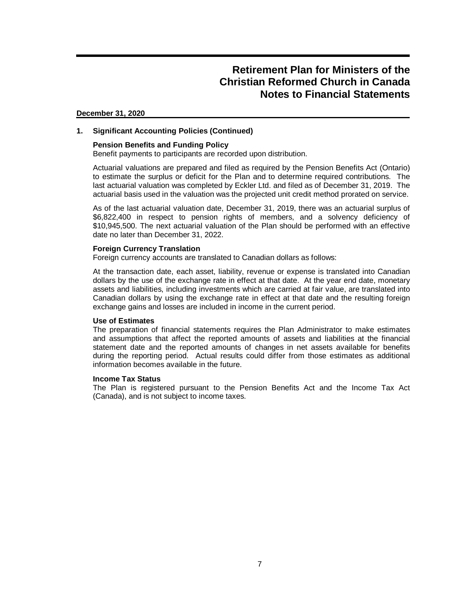#### **December 31, 2020**

### **1. Significant Accounting Policies (Continued)**

#### **Pension Benefits and Funding Policy**

Benefit payments to participants are recorded upon distribution.

Actuarial valuations are prepared and filed as required by the Pension Benefits Act (Ontario) to estimate the surplus or deficit for the Plan and to determine required contributions. The last actuarial valuation was completed by Eckler Ltd. and filed as of December 31, 2019. The actuarial basis used in the valuation was the projected unit credit method prorated on service.

As of the last actuarial valuation date, December 31, 2019, there was an actuarial surplus of \$6,822,400 in respect to pension rights of members, and a solvency deficiency of \$10,945,500. The next actuarial valuation of the Plan should be performed with an effective date no later than December 31, 2022.

#### **Foreign Currency Translation**

Foreign currency accounts are translated to Canadian dollars as follows:

At the transaction date, each asset, liability, revenue or expense is translated into Canadian dollars by the use of the exchange rate in effect at that date. At the year end date, monetary assets and liabilities, including investments which are carried at fair value, are translated into Canadian dollars by using the exchange rate in effect at that date and the resulting foreign exchange gains and losses are included in income in the current period.

#### **Use of Estimates**

The preparation of financial statements requires the Plan Administrator to make estimates and assumptions that affect the reported amounts of assets and liabilities at the financial statement date and the reported amounts of changes in net assets available for benefits during the reporting period. Actual results could differ from those estimates as additional information becomes available in the future.

#### **Income Tax Status**

The Plan is registered pursuant to the Pension Benefits Act and the Income Tax Act (Canada), and is not subject to income taxes.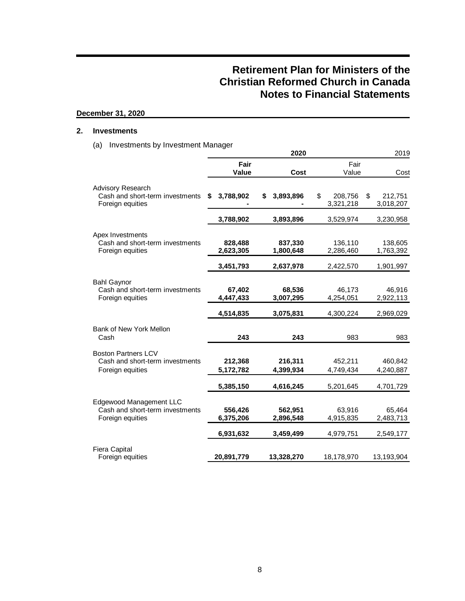## **December 31, 2020**

### **2. Investments**

(a) Investments by Investment Manager

|                                                                                       |                      | 2020                 |                            | 2019                       |
|---------------------------------------------------------------------------------------|----------------------|----------------------|----------------------------|----------------------------|
|                                                                                       | Fair<br>Value        | Cost                 | Fair<br>Value              | Cost                       |
|                                                                                       |                      |                      |                            |                            |
| <b>Advisory Research</b><br>Cash and short-term investments<br>Foreign equities       | 3,788,902<br>\$      | \$<br>3,893,896      | \$<br>208,756<br>3,321,218 | \$<br>212,751<br>3,018,207 |
|                                                                                       | 3,788,902            | 3,893,896            | 3,529,974                  | 3,230,958                  |
| Apex Investments<br>Cash and short-term investments<br>Foreign equities               | 828,488<br>2,623,305 | 837,330<br>1,800,648 | 136,110<br>2,286,460       | 138,605<br>1,763,392       |
|                                                                                       | 3,451,793            | 2,637,978            | 2,422,570                  | 1,901,997                  |
| <b>Bahl Gaynor</b><br>Cash and short-term investments<br>Foreign equities             | 67,402<br>4,447,433  | 68,536<br>3,007,295  | 46,173<br>4,254,051        | 46,916<br>2,922,113        |
|                                                                                       | 4,514,835            | 3,075,831            | 4,300,224                  | 2,969,029                  |
| Bank of New York Mellon<br>Cash                                                       | 243                  | 243                  | 983                        | 983                        |
| <b>Boston Partners LCV</b><br>Cash and short-term investments<br>Foreign equities     | 212,368<br>5,172,782 | 216,311<br>4,399,934 | 452,211<br>4,749,434       | 460,842<br>4,240,887       |
|                                                                                       | 5,385,150            | 4,616,245            | 5,201,645                  | 4,701,729                  |
| <b>Edgewood Management LLC</b><br>Cash and short-term investments<br>Foreign equities | 556,426<br>6,375,206 | 562,951<br>2,896,548 | 63,916<br>4,915,835        | 65,464<br>2,483,713        |
|                                                                                       | 6,931,632            | 3,459,499            | 4,979,751                  | 2,549,177                  |
| <b>Fiera Capital</b><br>Foreign equities                                              | 20,891,779           | 13,328,270           | 18,178,970                 | 13,193,904                 |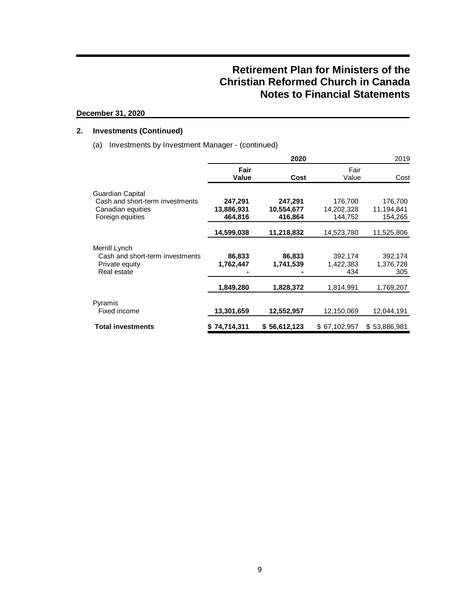## **December 31, 2020**

## **2. Investments (Continued)**

(a) Investments by Investment Manager - (continued)

|                                                                                              |                                  | 2020                             |                                  | 2019                             |
|----------------------------------------------------------------------------------------------|----------------------------------|----------------------------------|----------------------------------|----------------------------------|
|                                                                                              | Fair<br>Value                    | Cost                             | Fair<br>Value                    | Cost                             |
| Guardian Capital<br>Cash and short-term investments<br>Canadian equities<br>Foreign equities | 247,291<br>13,886,931<br>464.816 | 247,291<br>10,554,677<br>416.864 | 176,700<br>14,202,328<br>144.752 | 176,700<br>11,194,841<br>154,265 |
|                                                                                              | 14,599,038                       | 11,218,832                       | 14,523,780                       | 11,525,806                       |
| Merrill Lynch<br>Cash and short-term investments<br>Private equity<br>Real estate            | 86,833<br>1,762,447              | 86,833<br>1,741,539              | 392,174<br>1,422,383<br>434      | 392,174<br>1,376,728<br>305      |
|                                                                                              | 1,849,280                        | 1,828,372                        | 1,814,991                        | 1,769,207                        |
| Pyramis<br>Fixed income                                                                      | 13,301,659                       | 12,552,957                       | 12,150,069                       | 12,044,191                       |
| <b>Total investments</b>                                                                     | \$74,714,311                     | \$56,612,123                     | \$67,102,957                     | \$53,886,981                     |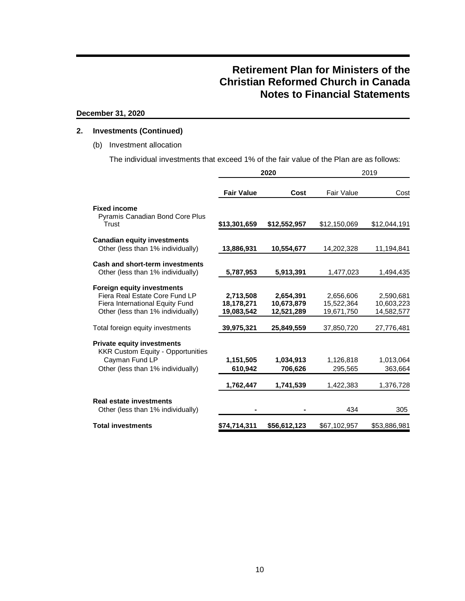## **December 31, 2020**

## **2. Investments (Continued)**

### (b) Investment allocation

The individual investments that exceed 1% of the fair value of the Plan are as follows:

|                                                                               |                   | 2020         | 2019         |              |  |
|-------------------------------------------------------------------------------|-------------------|--------------|--------------|--------------|--|
|                                                                               | <b>Fair Value</b> | Cost         | Fair Value   | Cost         |  |
| <b>Fixed income</b>                                                           |                   |              |              |              |  |
| <b>Pyramis Canadian Bond Core Plus</b><br>Trust                               | \$13,301,659      | \$12,552,957 | \$12,150,069 | \$12,044,191 |  |
| <b>Canadian equity investments</b>                                            |                   |              |              |              |  |
| Other (less than 1% individually)                                             | 13,886,931        | 10,554,677   | 14,202,328   | 11,194,841   |  |
| <b>Cash and short-term investments</b>                                        |                   |              |              |              |  |
| Other (less than 1% individually)                                             | 5,787,953         | 5,913,391    | 1,477,023    | 1,494,435    |  |
| <b>Foreign equity investments</b>                                             |                   |              |              |              |  |
| Fiera Real Estate Core Fund LP                                                | 2,713,508         | 2,654,391    | 2,656,606    | 2,590,681    |  |
| Fiera International Equity Fund                                               | 18.178.271        | 10,673,879   | 15.522.364   | 10,603,223   |  |
| Other (less than 1% individually)                                             | 19,083,542        | 12,521,289   | 19,671,750   | 14,582,577   |  |
| Total foreign equity investments                                              | 39,975,321        | 25,849,559   | 37,850,720   | 27,776,481   |  |
| <b>Private equity investments</b><br><b>KKR Custom Equity - Opportunities</b> |                   |              |              |              |  |
| Cayman Fund LP                                                                | 1,151,505         | 1,034,913    | 1,126,818    | 1,013,064    |  |
| Other (less than 1% individually)                                             | 610,942           | 706,626      | 295,565      | 363,664      |  |
|                                                                               | 1,762,447         | 1,741,539    | 1,422,383    | 1,376,728    |  |
| <b>Real estate investments</b>                                                |                   |              |              |              |  |
| Other (less than 1% individually)                                             |                   |              | 434          | 305          |  |
| <b>Total investments</b>                                                      | \$74,714,311      | \$56,612,123 | \$67,102,957 | \$53,886,981 |  |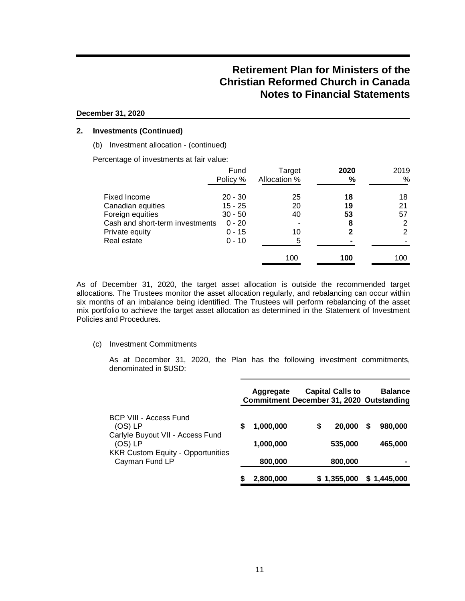#### **December 31, 2020**

### **2. Investments (Continued)**

(b) Investment allocation - (continued)

Percentage of investments at fair value:

|                                 | Fund<br>Policy % | Target<br>Allocation % | 2020<br>% | 2019<br>% |
|---------------------------------|------------------|------------------------|-----------|-----------|
| Fixed Income                    | $20 - 30$        | 25                     | 18        | 18        |
| Canadian equities               | $15 - 25$        | 20                     | 19        | 21        |
| Foreign equities                | $30 - 50$        | 40                     | 53        | 57        |
| Cash and short-term investments | $0 - 20$         |                        | 8         |           |
| Private equity                  | $0 - 15$         | 10                     | 2         | 2         |
| Real estate                     | $0 - 10$         | 5                      |           |           |
|                                 |                  | 100                    | 100       | 100       |

As of December 31, 2020, the target asset allocation is outside the recommended target allocations. The Trustees monitor the asset allocation regularly, and rebalancing can occur within six months of an imbalance being identified. The Trustees will perform rebalancing of the asset mix portfolio to achieve the target asset allocation as determined in the Statement of Investment Policies and Procedures.

#### (c) Investment Commitments

As at December 31, 2020, the Plan has the following investment commitments, denominated in \$USD:

|                                                                                      |   | Aggregate<br><b>Commitment December 31, 2020 Outstanding</b> | <b>Capital Calls to</b> |   | <b>Balance</b>     |
|--------------------------------------------------------------------------------------|---|--------------------------------------------------------------|-------------------------|---|--------------------|
| BCP VIII - Access Fund<br>$(OS)$ LP<br>Carlyle Buyout VII - Access Fund<br>$(OS)$ LP | S | 1,000,000<br>1,000,000                                       | \$<br>20,000<br>535,000 | S | 980,000<br>465,000 |
| <b>KKR Custom Equity - Opportunities</b><br>Cayman Fund LP                           |   | 800,000                                                      | 800,000                 |   |                    |
|                                                                                      |   | 2,800,000                                                    | \$1,355,000             |   | \$1,445,000        |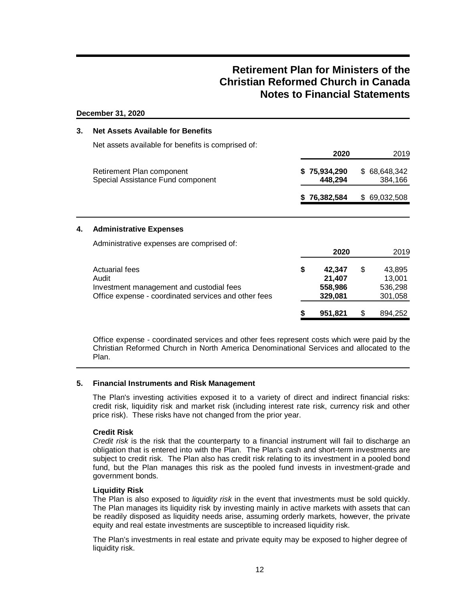#### **December 31, 2020**

| 3. | <b>Net Assets Available for Benefits</b>                                                                                           |                                              |     |                                        |
|----|------------------------------------------------------------------------------------------------------------------------------------|----------------------------------------------|-----|----------------------------------------|
|    | Net assets available for benefits is comprised of:                                                                                 | 2020                                         |     | 2019                                   |
|    | Retirement Plan component<br>Special Assistance Fund component                                                                     | 75,934,290<br>448,294                        |     | \$68,648,342<br>384,166                |
|    |                                                                                                                                    | 76,382,584                                   | \$. | 69,032,508                             |
| 4. | <b>Administrative Expenses</b>                                                                                                     |                                              |     |                                        |
|    | Administrative expenses are comprised of:                                                                                          | 2020                                         |     | 2019                                   |
|    | <b>Actuarial fees</b><br>Audit<br>Investment management and custodial fees<br>Office expense - coordinated services and other fees | \$<br>42,347<br>21,407<br>558,986<br>329,081 | \$  | 43,895<br>13,001<br>536,298<br>301,058 |
|    |                                                                                                                                    | 951,821                                      | \$  | 894,252                                |

Office expense - coordinated services and other fees represent costs which were paid by the Christian Reformed Church in North America Denominational Services and allocated to the Plan.

### **5. Financial Instruments and Risk Management**

The Plan's investing activities exposed it to a variety of direct and indirect financial risks: credit risk, liquidity risk and market risk (including interest rate risk, currency risk and other price risk). These risks have not changed from the prior year.

### **Credit Risk**

*Credit risk* is the risk that the counterparty to a financial instrument will fail to discharge an obligation that is entered into with the Plan. The Plan's cash and short-term investments are subject to credit risk. The Plan also has credit risk relating to its investment in a pooled bond fund, but the Plan manages this risk as the pooled fund invests in investment-grade and government bonds.

### **Liquidity Risk**

The Plan is also exposed to *liquidity risk* in the event that investments must be sold quickly. The Plan manages its liquidity risk by investing mainly in active markets with assets that can be readily disposed as liquidity needs arise, assuming orderly markets, however, the private equity and real estate investments are susceptible to increased liquidity risk.

The Plan's investments in real estate and private equity may be exposed to higher degree of liquidity risk.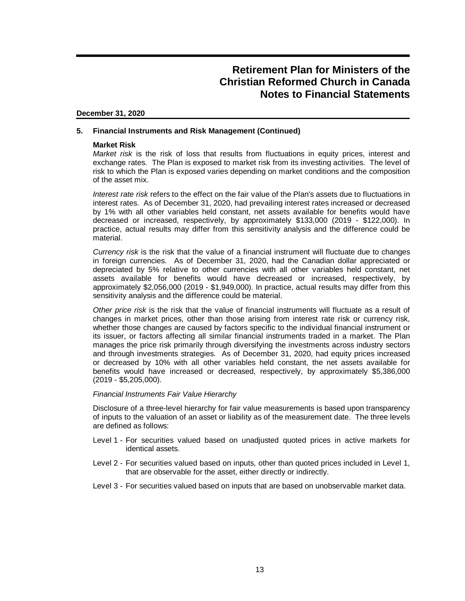#### **December 31, 2020**

### **5. Financial Instruments and Risk Management (Continued)**

#### **Market Risk**

*Market risk* is the risk of loss that results from fluctuations in equity prices, interest and exchange rates. The Plan is exposed to market risk from its investing activities. The level of risk to which the Plan is exposed varies depending on market conditions and the composition of the asset mix.

*Interest rate risk* refers to the effect on the fair value of the Plan's assets due to fluctuations in interest rates. As of December 31, 2020, had prevailing interest rates increased or decreased by 1% with all other variables held constant, net assets available for benefits would have decreased or increased, respectively, by approximately \$133,000 (2019 - \$122,000). In practice, actual results may differ from this sensitivity analysis and the difference could be material.

*Currency risk* is the risk that the value of a financial instrument will fluctuate due to changes in foreign currencies. As of December 31, 2020, had the Canadian dollar appreciated or depreciated by 5% relative to other currencies with all other variables held constant, net assets available for benefits would have decreased or increased, respectively, by approximately \$2,056,000 (2019 - \$1,949,000). In practice, actual results may differ from this sensitivity analysis and the difference could be material.

*Other price risk* is the risk that the value of financial instruments will fluctuate as a result of changes in market prices, other than those arising from interest rate risk or currency risk, whether those changes are caused by factors specific to the individual financial instrument or its issuer, or factors affecting all similar financial instruments traded in a market. The Plan manages the price risk primarily through diversifying the investments across industry sectors and through investments strategies. As of December 31, 2020, had equity prices increased or decreased by 10% with all other variables held constant, the net assets available for benefits would have increased or decreased, respectively, by approximately \$5,386,000 (2019 - \$5,205,000).

#### *Financial Instruments Fair Value Hierarchy*

Disclosure of a three-level hierarchy for fair value measurements is based upon transparency of inputs to the valuation of an asset or liability as of the measurement date. The three levels are defined as follows:

- Level 1 For securities valued based on unadjusted quoted prices in active markets for identical assets.
- Level 2 For securities valued based on inputs, other than quoted prices included in Level 1, that are observable for the asset, either directly or indirectly.
- Level 3 For securities valued based on inputs that are based on unobservable market data.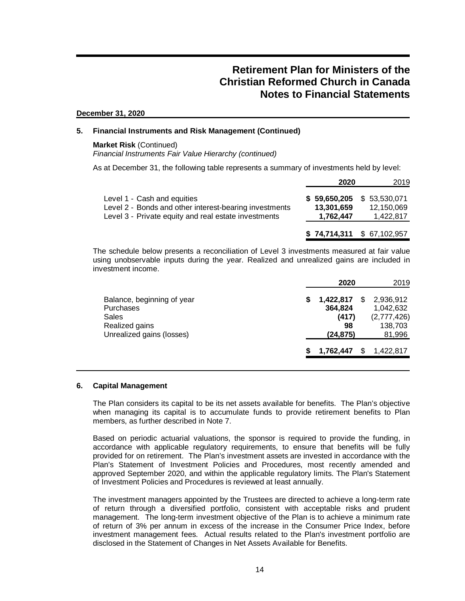#### **December 31, 2020**

### **5. Financial Instruments and Risk Management (Continued)**

#### **Market Risk** (Continued) *Financial Instruments Fair Value Hierarchy (continued)*

As at December 31, the following table represents a summary of investments held by level:

|                                                                                                                                               | 2020                                    | 2019                                    |
|-----------------------------------------------------------------------------------------------------------------------------------------------|-----------------------------------------|-----------------------------------------|
| Level 1 - Cash and equities<br>Level 2 - Bonds and other interest-bearing investments<br>Level 3 - Private equity and real estate investments | \$59,650,205<br>13.301.659<br>1,762,447 | \$53,530,071<br>12.150.069<br>1,422,817 |
|                                                                                                                                               |                                         | $$74,714,311$ $$67,102,957$             |

The schedule below presents a reconciliation of Level 3 investments measured at fair value using unobservable inputs during the year. Realized and unrealized gains are included in investment income.

|                                                                                                        |   | 2020                                             | 2019                                                       |
|--------------------------------------------------------------------------------------------------------|---|--------------------------------------------------|------------------------------------------------------------|
| Balance, beginning of year<br><b>Purchases</b><br>Sales<br>Realized gains<br>Unrealized gains (losses) | S | 1,422,817<br>364,824<br>(417)<br>98<br>(24, 875) | 2,936,912<br>1,042,632<br>(2,777,426)<br>138,703<br>81,996 |
|                                                                                                        |   | 1,762,447                                        | 1,422,817                                                  |

### **6. Capital Management**

The Plan considers its capital to be its net assets available for benefits. The Plan's objective when managing its capital is to accumulate funds to provide retirement benefits to Plan members, as further described in Note 7.

Based on periodic actuarial valuations, the sponsor is required to provide the funding, in accordance with applicable regulatory requirements, to ensure that benefits will be fully provided for on retirement. The Plan's investment assets are invested in accordance with the Plan's Statement of Investment Policies and Procedures, most recently amended and approved September 2020, and within the applicable regulatory limits. The Plan's Statement of Investment Policies and Procedures is reviewed at least annually.

The investment managers appointed by the Trustees are directed to achieve a long-term rate of return through a diversified portfolio, consistent with acceptable risks and prudent management. The long-term investment objective of the Plan is to achieve a minimum rate of return of 3% per annum in excess of the increase in the Consumer Price Index, before investment management fees. Actual results related to the Plan's investment portfolio are disclosed in the Statement of Changes in Net Assets Available for Benefits.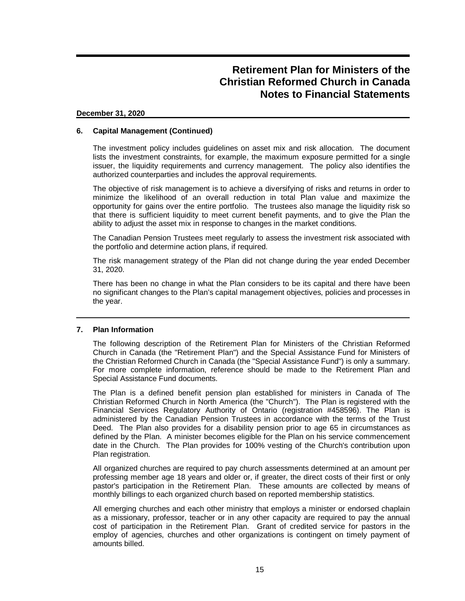#### **December 31, 2020**

### **6. Capital Management (Continued)**

The investment policy includes guidelines on asset mix and risk allocation. The document lists the investment constraints, for example, the maximum exposure permitted for a single issuer, the liquidity requirements and currency management. The policy also identifies the authorized counterparties and includes the approval requirements.

The objective of risk management is to achieve a diversifying of risks and returns in order to minimize the likelihood of an overall reduction in total Plan value and maximize the opportunity for gains over the entire portfolio. The trustees also manage the liquidity risk so that there is sufficient liquidity to meet current benefit payments, and to give the Plan the ability to adjust the asset mix in response to changes in the market conditions.

The Canadian Pension Trustees meet regularly to assess the investment risk associated with the portfolio and determine action plans, if required.

The risk management strategy of the Plan did not change during the year ended December 31, 2020.

There has been no change in what the Plan considers to be its capital and there have been no significant changes to the Plan's capital management objectives, policies and processes in the year.

### **7. Plan Information**

The following description of the Retirement Plan for Ministers of the Christian Reformed Church in Canada (the "Retirement Plan") and the Special Assistance Fund for Ministers of the Christian Reformed Church in Canada (the "Special Assistance Fund") is only a summary. For more complete information, reference should be made to the Retirement Plan and Special Assistance Fund documents.

The Plan is a defined benefit pension plan established for ministers in Canada of The Christian Reformed Church in North America (the "Church"). The Plan is registered with the Financial Services Regulatory Authority of Ontario (registration #458596). The Plan is administered by the Canadian Pension Trustees in accordance with the terms of the Trust Deed. The Plan also provides for a disability pension prior to age 65 in circumstances as defined by the Plan. A minister becomes eligible for the Plan on his service commencement date in the Church. The Plan provides for 100% vesting of the Church's contribution upon Plan registration.

All organized churches are required to pay church assessments determined at an amount per professing member age 18 years and older or, if greater, the direct costs of their first or only pastor's participation in the Retirement Plan. These amounts are collected by means of monthly billings to each organized church based on reported membership statistics.

All emerging churches and each other ministry that employs a minister or endorsed chaplain as a missionary, professor, teacher or in any other capacity are required to pay the annual cost of participation in the Retirement Plan. Grant of credited service for pastors in the employ of agencies, churches and other organizations is contingent on timely payment of amounts billed.